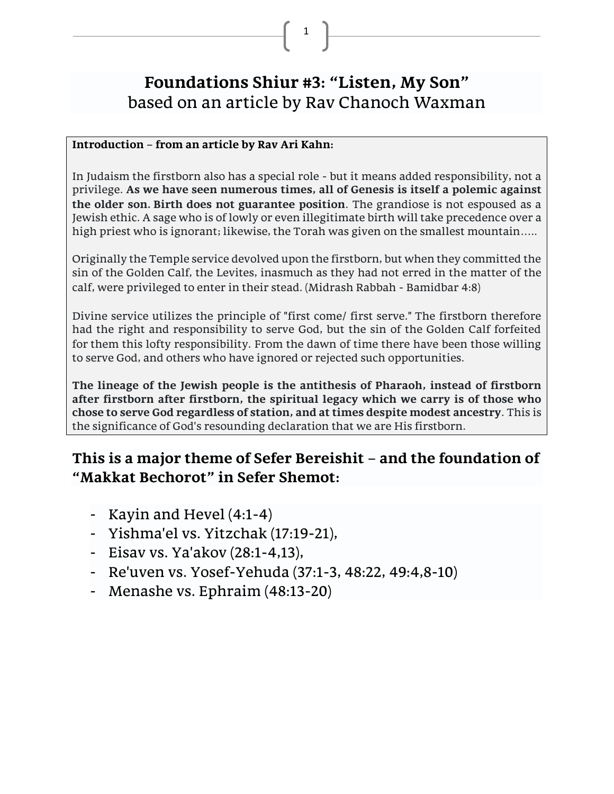# **Foundations Shiur #3: "Listen, My Son"** based on an article by Rav Chanoch Waxman

1

#### **Introduction – from an article by Rav Ari Kahn:**

In Judaism the firstborn also has a special role - but it means added responsibility, not a privilege. **As we have seen numerous times, all of Genesis is itself a polemic against the older son. Birth does not guarantee position**. The grandiose is not espoused as a Jewish ethic. A sage who is of lowly or even illegitimate birth will take precedence over a high priest who is ignorant; likewise, the Torah was given on the smallest mountain…..

Originally the Temple service devolved upon the firstborn, but when they committed the sin of the Golden Calf, the Levites, inasmuch as they had not erred in the matter of the calf, were privileged to enter in their stead. (Midrash Rabbah - Bamidbar 4:8)

Divine service utilizes the principle of "first come/ first serve." The firstborn therefore had the right and responsibility to serve God, but the sin of the Golden Calf forfeited for them this lofty responsibility. From the dawn of time there have been those willing to serve God, and others who have ignored or rejected such opportunities.

**The lineage of the Jewish people is the antithesis of Pharaoh, instead of firstborn after firstborn after firstborn, the spiritual legacy which we carry is of those who chose to serve God regardless of station, and at times despite modest ancestry**. This is the significance of God's resounding declaration that we are His firstborn.

# **This is a major theme of Sefer Bereishit – and the foundation of "Makkat Bechorot" in Sefer Shemot:**

- Kayin and Hevel (4:1-4)
- Yishma'el vs. Yitzchak (17:19-21),
- Eisav vs. Ya'akov (28:1-4,13),
- Re'uven vs. Yosef-Yehuda (37:1-3, 48:22, 49:4,8-10)
- Menashe vs. Ephraim (48:13-20)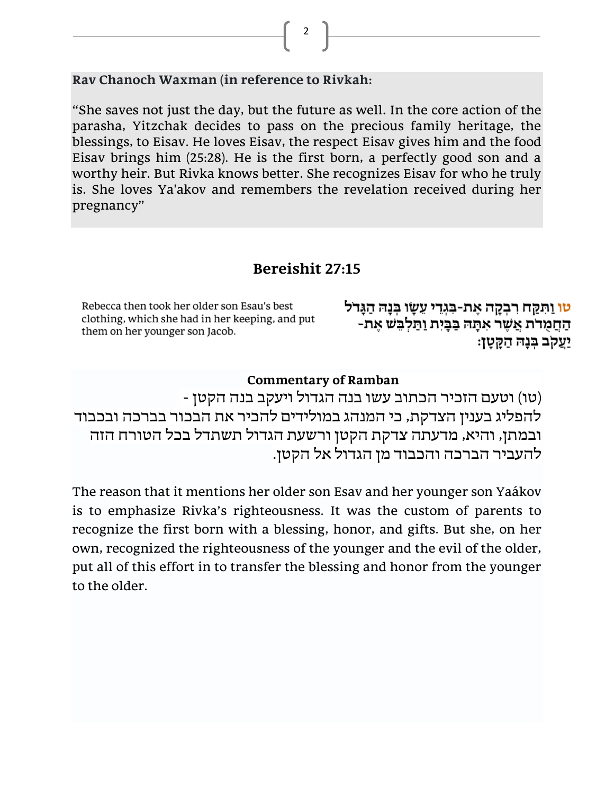**Rav Chanoch Waxman (in reference to Rivkah:**

"She saves not just the day, but the future as well. In the core action of the parasha, Yitzchak decides to pass on the precious family heritage, the blessings, to Eisav. He loves Eisav, the respect Eisav gives him and the food Eisav brings him (25:28). He is the first born, a perfectly good son and a worthy heir. But Rivka knows better. She recognizes Eisav for who he truly is. She loves Ya'akov and remembers the revelation received during her pregnancy"

### **Bereishit 27:15**

Rebecca then took her older son Esau's best clothing, which she had in her keeping, and put them on her younger son Jacob.

<mark>טו</mark> וַתִּקַח רִבְקָה אֶת-בִּגְדֵי עֵשָׂו בְּנָה הַגָּדֹל החמרת אַשָר אתה בַּבְיִת וַתַּלְבֵשׁ אֶת-יַעַקב בִּנָה הַקֵּטָן:

#### **Commentary of Ramban**

)טו( וטעם הזכיר הכתוב עשו בנה הגדול ויעקב בנה הקטן - להפליג בענין הצדקת, כי המנהג במולידים להכיר את הבכור בברכה ובכבוד ובמתן, והיא, מדעתה צדקת הקטן ורשעת הגדול תשתדל בכל הטורח הזה להעביר הברכה והכבוד מן הגדול אל הקטן.

The reason that it mentions her older son Esav and her younger son Yaákov is to emphasize Rivka's righteousness. It was the custom of parents to recognize the first born with a blessing, honor, and gifts. But she, on her own, recognized the righteousness of the younger and the evil of the older, put all of this effort in to transfer the blessing and honor from the younger to the older.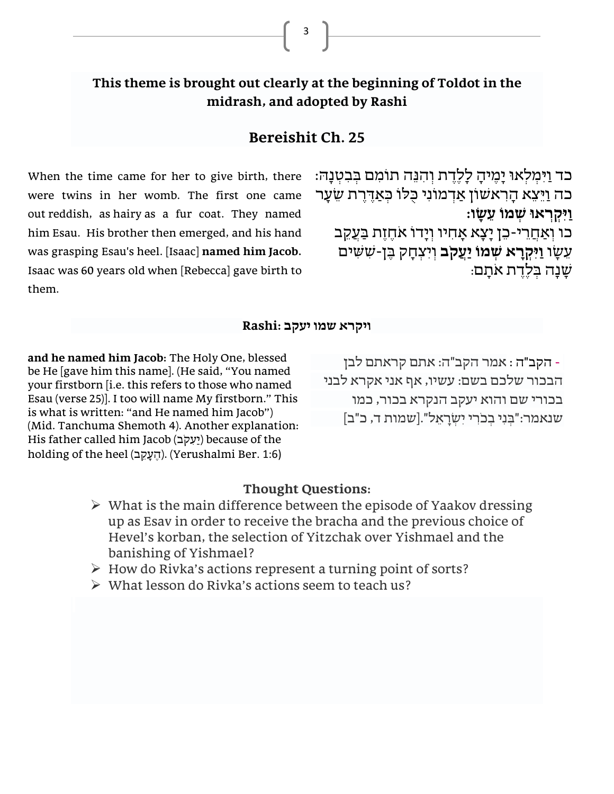### **This theme is brought out clearly at the beginning of Toldot in the midrash, and adopted by Rashi**

#### **Bereishit Ch. 25**

When the time came for her to give birth, there were twins in her womb. The first one came out [reddish,](http://www.bible.ort.org/books/pentd2.asp?ACTION=displaypage&BOOK=1&CHAPTER=25#C495) as [hairy](http://www.bible.ort.org/books/pentd2.asp?ACTION=displaypage&BOOK=1&CHAPTER=25#C496) as a fur coat. They named him [Esau.](http://www.bible.ort.org/books/pentd2.asp?ACTION=displaypage&BOOK=1&CHAPTER=25#C497) His brother then emerged, and his hand was grasping Esau's heel. [\[Isaac\]](http://www.bible.ort.org/books/pentd2.asp?ACTION=displaypage&BOOK=1&CHAPTER=25#C498) **named him [Jacob.](http://www.bible.ort.org/books/pentd2.asp?ACTION=displaypage&BOOK=1&CHAPTER=25#C499)** Isaac was 60 [years](http://www.bible.ort.org/books/pentd2.asp?ACTION=displaypage&BOOK=1&CHAPTER=25#C500) old when [Rebecca] gave birth to them.

כד וַיִּמִלְאוּ יָמֵיהָ לָלֵדֵת וְהִנֵּה תוֹמִם בִּבְטָנָה: כה וַיֵּצֵא הָרִאשׁוֹן אַדְמוֹנִי כַּלוֹ כִּאַדֶּרֶת שֵׂעַר **ַוִּיּ ְקְראוּ ְשמֹו ֵע ָׂ שו:**

כו וְאַחֲרִי-כֵּן יַצָא אַחִיו וְיַדוֹ אֹחֱזֶת בַּעֲקֶב עֵשַׂו **וַיִּקְרַא שִׁמוֹ יַעֲקֹב** וִיִּצְחָק בֵּן-שִׁשִּׁים ַ שׁנה בִּלִדת אֹתִם:

#### **ו יקרא שמו יעקב :Rashi**

**and he named him Jacob:** The Holy One, blessed be He  $[$ gave him this name]. (He said, "You named your firstborn [i.e. this refers to those who named Esau (verse 25)]. I too will name My firstborn." This is what is written: "and He named him Jacob") (Mid. Tanchuma Shemoth 4). Another explanation: His father called him Jacob (יַעֲקֹב) because of the holding of the heel (העקב). (Yerushalmi Ber. 1:6)

- הקב"ה : אמר הקב"ה: אתם קראתם לבן הבכור שלכם בשם: עשיו, אף אני אקרא לבני בכורי שם והוא יעקב הנקרא בכור, כמו שנאמר:"בְּ נִּ י בְ כֹרִּ י יִּש ְ רָ אֵּ ל".[שמות ד, כ"ב]

#### **Thought Questions:**

- $\triangleright$  What is the main difference between the episode of Yaakov dressing up as Esav in order to receive the bracha and the previous choice of Hevel's korban, the selection of Yitzchak over Yishmael and the banishing of Yishmael?
- ➢ How do Rivka's actions represent a turning point of sorts?
- $\triangleright$  What lesson do Rivka's actions seem to teach us?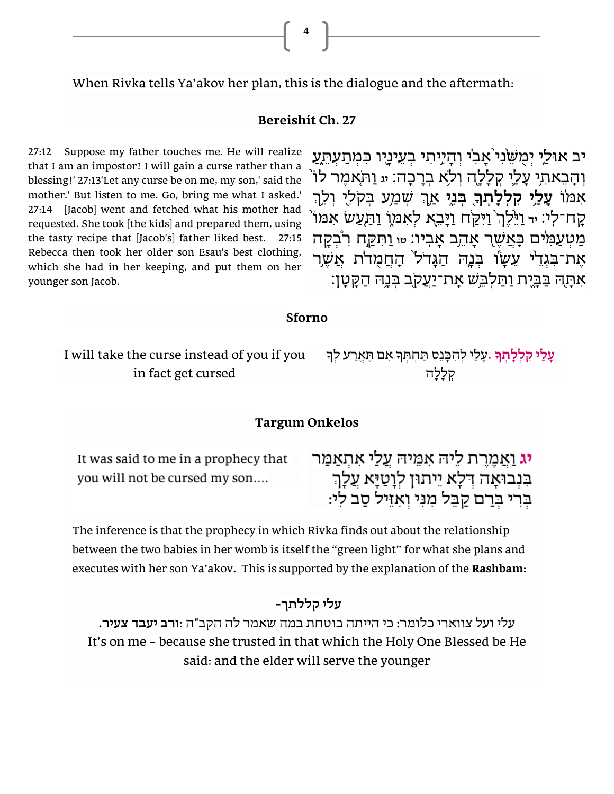When Rivka tells Ya'akov her plan, this is the dialogue and the aftermath:

#### **Bereishit Ch. 27**

4

27:12 Suppose my father touches me. He will realize that I am an impostor! I will gain a curse rather than a blessing!' 27:13'Let any curse be on me, my son,' said the mother.' But listen to me. Go, bring me what I asked.' 27:14 [Jacob] went and fetched what his mother had requested. She took [the kids] and prepared them, using the tasty recipe that [Jacob's] father liked best. 27:15 Rebecca then took her older son Esau's best clothing, which she had in her keeping, and put them on her younger son Jacob.

יב אוּלַי יְמַשֶּׂנִי<sup>י</sup> אַבִי וְהַיִּיתִי בְעֵינַיִו כִּמְתַעָתְעַ **וְהָבֵאתִי עָלֵי קִלְלֶה וְלֹא בְרָבָה: ּי** וַתֹּאמֶר לוֹ ְך **י ִּק ְל ָָֽׂל ְת ֖ ֑בְּ נִּ י** ֛אַ ׁ ְש ַמ **ָׂך** ֔אִּ מּ וֹ **֥עָׂ לַ**  ְך ֥ ֖ ע בְּ קֹלִּ ֥ י וְ לֵּ ַּקָח־לִי: <sub>יד</sub> וַיֵּלֶךְ וַיִּקֲח וַיָּבֵא לִאִמְוָ וַתַּעֲשׂ אִמּוֹ מַטְ עַמִ<sup>ּ</sup>ים כַּאֲשֶׁר אֲהֶב אַבְיו: <sub>שו</sub>וַתְּקֵח רְבְקַה אֶת־בִּגְדֵ<sup>ׂ</sup>י עֵשַׂוֹ בִּנָה הַגָּדֹל<sup>י</sup> הָחֲמָדֹת אֲשֶׁר אִתָּה בַּבָּיֵת וַתַּלְבֵּשׁ אָת־יַעֲקֹב בִּנָהּ הַקֵּטָן:

**Sforno**

I will take the curse instead of you if you in fact get cursed

**ָׂך** ָע ַלי ְל ִּה ָּכֵּנס ַּת ְח ְּת ָך ִּאם ֶּתֱאַרע ְל ָך **ָׂע ַלי ִּק ְל ָׂל ְת .** קְ לָלָ ה

#### **Targum Onkelos**

It was said to me in a prophecy that you will not be cursed my son....

<mark>יג ואמרת ליה אמיה עלי אתאמר</mark> בִּנְבוּאָה דְּלָא יֵיתוּן לְוָטַיָּא עֲלָךְ בְרִי בְרַם קַבֵּל מִנִּי וְאִזֵיל סַב לִי:

The inference is that the prophecy in which Rivka finds out about the relationship between the two babies in her womb is itself the "green light" for what she plans and executes with her son Ya'akov**.** This is supported by the explanation of the **Rashbam:**

#### **עלי קללתך-**

עלי ועל צווארי כלומר: כי הייתה בוטחת במה שאמר לה הקב"ה :**ורב יעבד צעיר .** It's on me – because she trusted in that which the Holy One Blessed be He said: and the elder will serve the younger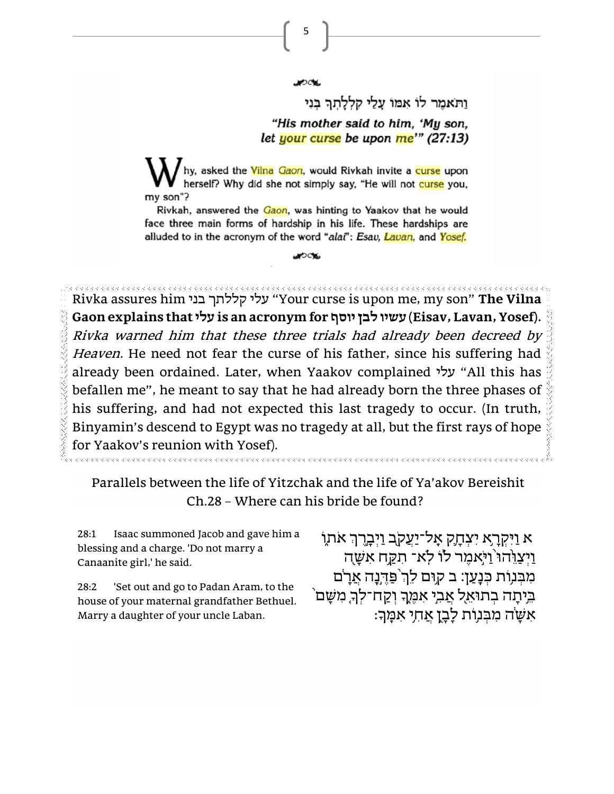5

ותאמר לו אמו עלי קללתה בני "His mother said to him, 'My son, let your curse be upon me'" (27:13)

hy, asked the Vilna Gaon, would Rivkah invite a curse upon herself? Why did she not simply say, "He will not curse you, my son"?

Rivkah, answered the Gaon, was hinting to Yaakov that he would face three main forms of hardship in his life. These hardships are alluded to in the acronym of the word "alai": Esav, Lavan, and Yosef.

JOCK.

Rivka assures him בני קללתך עלי" Your curse is upon me, my son" **The Vilna Gaon explains that עלי is an acronym for יוסף לבן עשיו) Eisav, Lavan, Yosef).** Rivka warned him that these three trials had already been decreed by Heaven. He need not fear the curse of his father, since his suffering had already been ordained. Later, when Yaakov complained עלי" All this has befallen me", he meant to say that he had already born the three phases of his suffering, and had not expected this last tragedy to occur. (In truth, Binyamin's descend to Egypt was no tragedy at all, but the first rays of hope for Yaakov's reunion with Yosef).

Parallels between the life of Yitzchak and the life of Ya'akov Bereishit Ch.28 – Where can his bride be found?

28:1 Isaac summoned Jacob and gave him a blessing and a charge. 'Do not marry a Canaanite girl,' he said.

28:2 'Set out and go to Padan Aram, to the house of your maternal grandfather Bethuel. Marry a daughter of your uncle Laban.

ָ אַ נִיִּקְרָא יִצְחָק אָל־יַעֲקֹב וַיִּבְרֶךְ אֹתֶוֹ  $\pm$ ַ וַיִּצֲוֶּהוּ וַיִּאמֶר לוֹ לְא־ תִקֲח אִשָּׁה מִבְּנָוֹת כִּנָעַן: ב קוִם לַךְ פַּדֶּנֶה אֵרָם  $\hat{\;}$ בֵּיתָה בְתוּאֵל אֲבִי אִכֶּּוֶךְ וְקַח־לְךָ מִשָּׁם ָ<br>אִשָּׂה מִבְּנְוֹת לָבָן אֲחִי אִמֶּךְ: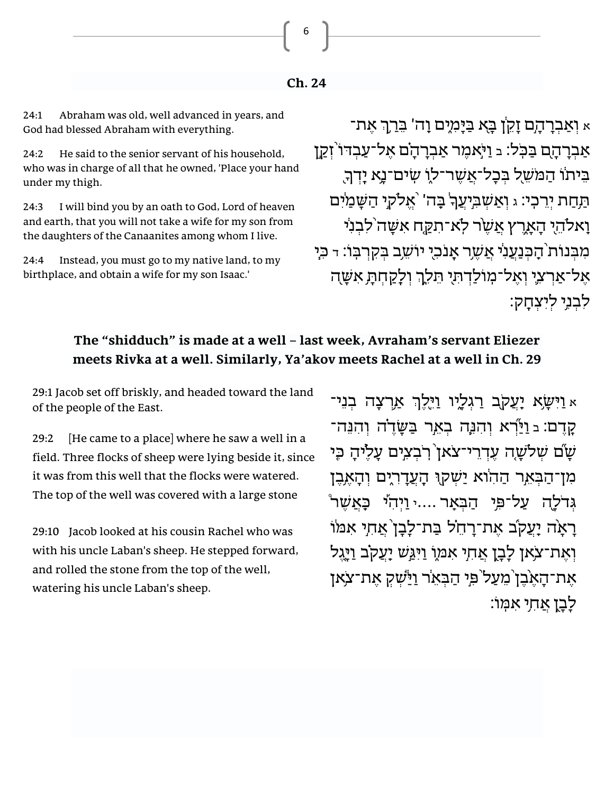**Ch. 24**

6

24:1 Abraham was old, well advanced in years, and God had blessed Abraham with everything.

24:2 He said to the senior servant of his household, who was in charge of all that he owned, 'Place your hand under my thigh.

24:3 I will bind you by an oath to God, Lord of heaven and earth, that you will not take a wife for my son from the daughters of the Canaanites among whom I live.

24:4 Instead, you must go to my native land, to my birthplace, and obtain a wife for my son Isaac.'

א וְאַבְרָהָם זָקֵ<sup>ּ</sup>ן בָּא בַּיָּמִיִם וָה' בֵּרַךְ אֵת־ אַבְרָהָם בַּכְּל: בּ וַיֹּאמֶר אַבְרָהָם אֶל־עַבְדּו<sup>י</sup> זְקַן בֵּיתוֹ הַמ*ּש*ֶׁל בִּבָל־אֲשֶׁר־ל*וֹ שִ*יּם־נָא יָדְךָ הַחַת יְרֵכְי: ג וְאַשְׁבִיְעֲךָ בָּה' אֱלֹקיָ הַשָּׁמַׂיִם וָאלֹהֵי הָאָרֵץ אֲשֶׁר לְא־תִקֵּח אִשָּׁה<sup>י</sup>לִבְנִי מִבְּנוֹת הָבְנַעֲנִי אֲשֶׁר אָנֹכִי יוֹשֵׁב בִּקְרִבְּוֹ: ד בְּיָ אֵל־אַרִצְיָ וְאֵל־מְוֹלַדְתִּי תֵּלֵךְ וְלַקֲחִתָּ אִשָּׁה ַ לְבְנֵי לִיְצָחֲקָ

#### **The "shidduch" is made at a well – last week, Avraham's servant Eliezer meets Rivka at a well. Similarly, Ya'akov meets Rachel at a well in Ch. 29**

29:1 Jacob set off briskly, and headed toward the land of the people of the East.

29:2 [He came to a place] where he saw a well in a field. Three flocks of sheep were lying beside it, since it was from this well that the flocks were watered. The top of the well was covered with a large stone

29:10 Jacob looked at his cousin Rachel who was with his uncle Laban's sheep. He stepped forward, and rolled the stone from the top of the well, watering his uncle Laban's sheep.

א וַיִּשָׂא יָעֲקֹב רַגִלְיו וַיֵּלֵךְ אַרִצָה בִנֵי־ קֵרֵם: בּ וַיַּרְא וְהִנֶּה בִאֵ*ֽ*ר בַּשָּׂדֵ<sup>ּ</sup>ה וְהִנֵּה־ שׁם שלשָה עִדְרֵי־צֹאן דְבִצְיִם עַלֵּיהָ כִּי מִן־הַבְּאֵר הַהִוֹא יַשִׁקוּ הָעֲדָרְיָם וִהָאֵבֶן גִדֹלַה עַל־פֵּי הַבְּאַר ....י וַיְהִי כָּאֲשֶׁר ْ רָאָה יָעֲקֹב אֶת־רַחֵ**יֹל בַּת־לָבָן אֲחִי אִמּוֹ** וְאֶת־צֹאן לָבָן אֲחִי אִמּוֹ וַיִּגַּשׁ יָעֲקֹב וַיָּגֵל את־האֹבן מעל פי הבאר וישק את־צֹאן לִבן אחִי אַמָּוֹ: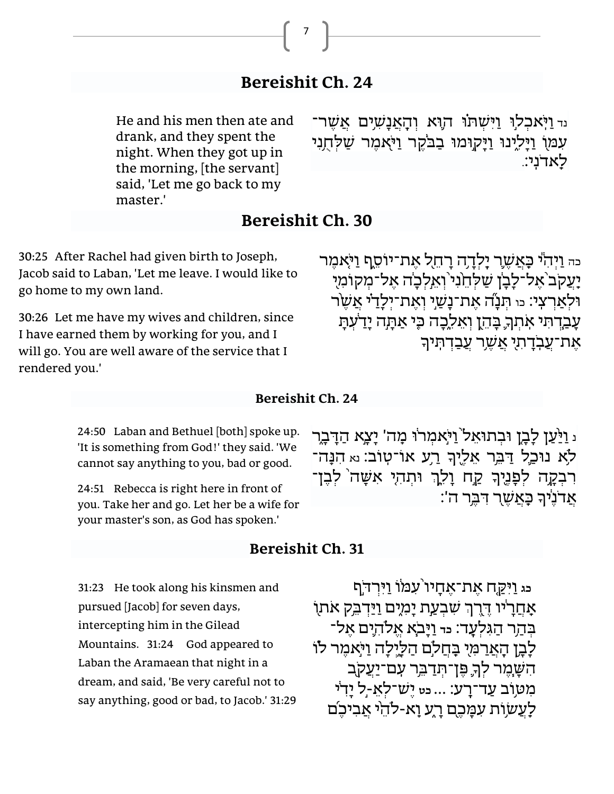# **Bereishit Ch. 24**

7

He and his men then ate and drank, and they spent the night. When they got up in the morning, [the servant] said, 'Let me go back to my master.'

ייִ וַיְּאכִלוּ וַיִּשְׁתוֹ הוָא וְהָאֲנָשְׁיִם אֲשֶׁר־ עִמּוֹ וַיָּלִינוּ וַיָּקוּמוּ בַבֹּקֶר וַיֹּאמֶר שַׁלְחֻנִי לִאדֹנִיָ

### **Bereishit Ch. 30**

30:25 After Rachel had given birth to Joseph, Jacob said to Laban, 'Let me leave. I would like to go home to my own land.

30:26 Let me have my wives and children, since I have earned them by working for you, and I will go. You are well aware of the service that I rendered you.'

כה וַיִּהְיֹ כַּאֲשֶׁרָ יַלְדָה רַחֵל אֲת־יוֹסֵף וַיֹּאמֶר יַעֲקֹב אֵל־לַבַן שַלְחֱנִי וְאֵלְכַה אֵל־מִקוֹמִיִ וּלְאַרִצְי: <sub>כּוּ</sub> תְּנָה אֶת־נָשֵׁי וְאֵת־יִלְדַי אֲשֶׂר ַעֲבַדְ תִּי אִתְךָ בָּהֵן וְאֵלֶכָה כִּי אַתְה יָדַעָתָ ִּדְרֵיִ דְּתִיךָ אֲשֶר עֲבַדְתְּיךָ \*

#### **Bereishit Ch. 24**

24:50 Laban and Bethuel [both] spoke up. 'It is something from God!' they said. 'We cannot say anything to you, bad or good.

24:51 Rebecca is right here in front of you. Take her and go. Let her be a wife for your master's son, as God has spoken.'

#### **Bereishit Ch. 31**

31:23 He took along his kinsmen and pursued [Jacob] for seven days, intercepting him in the Gilead Mountains. 31:24 God appeared to Laban the Aramaean that night in a dream, and said, 'Be very careful not to say anything, good or bad, to Jacob.' 31:29 נ וַיַּעֲן לַבֵן וּבִתוּאַל<sup>י</sup> וַיֹּאמִרוּ מִה' יַצַא הַדַּבַר לֹא נוּכַל דַּבֵּר אֵלֵיִךְ רַע אוֹ־טִוֹב׃ וֹא הִנָּה־ רִבְקָה לְפָנֶיךָ קַח וָלֵךְ וּתְהִי אִשָּׁה לְבֶן־ ָ<br>אֲדֹנֵי*ּ*ךְ בָּאֲשֶר דִּבְר ה':

ּיְר ּ֣דֹף ּי ַּ֤ק ֙ ח אֶ ת־אֶ חָ יו ֔עִּ מּ ֹו ַוִּ **כג** ַוִּ אָחֲרָיו דֶּרֶךְ שִבְעַת יָמְיָם וַיַּדְבֵק אֹתוֹ בְּהָר הַגִּלְעָד: <sub>כד</sub> וַיַּבֹאָ אֱלֹהִיִּם אֱל־ לָבָן הָאֲרַמִּי בָּחֲלָֹם הַלֵּיָלָה וַיֹּאמֵר לוֹ ָך ֧הִּ שׁ ּ ָ ֶמר ְל ֛ ֥ פּ ֶ ן־תְּ דַ בֵּּ ֖ ר עִֵּֽ ם־יַעֲקֹ ב ֥מִּ טּ וֹב עַ ד־רֵָֽ ע׃ ... **כט** יֶשׁ ־לְ אֵּ -֣ ֔ ל יָדִּ י לַעֲשׂוֹת עִמָּכֶם רָע וַא-לֹהֵי אֲבִיכֵת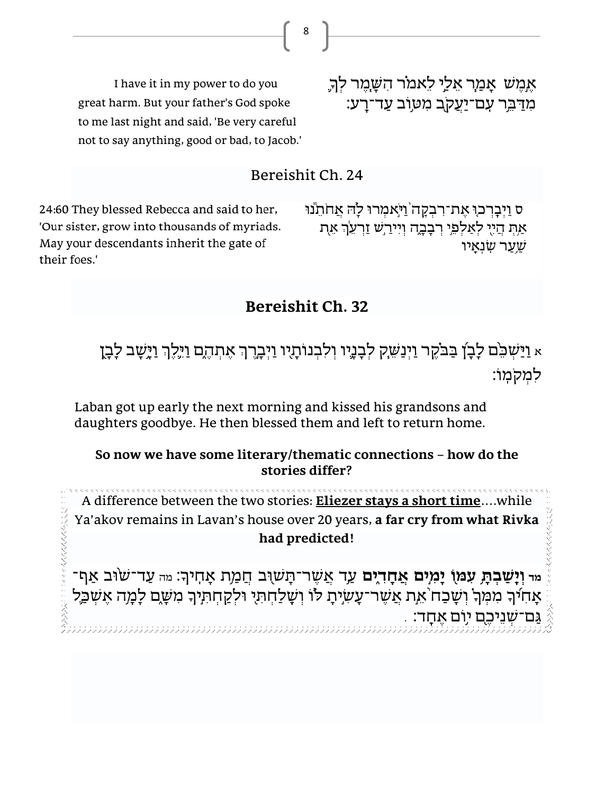I have it in my power to do you great harm. But your father's God spoke to me last night and said, 'Be very careful not to say anything, good or bad, to Jacob.' אֶמֶשׁ אָמַר אֵלַי לֵאמֹר הִשָּׁמֶר לִךְ ּמִדַּבֵּר עִם־יַעֲקֹב מִטְוֹב עַד־רָע:

#### Bereishit Ch. 24

24:60 They blessed Rebecca and said to her, 'Our sister, grow into thousands of myriads. May your descendants inherit the gate of their foes.'

ס וַיִּבְרְכוּ אֶת־רְבְקָה וַיֹּאמְרוּ לַהּ אֲחֹתֵנוּ אַת הַיִי לְאַלְפֵי רְבָבֶה וִיִירַשׁ זַרְעֶךְ אֶת שער שנאיו

### **Bereishit Ch. 32**

ְא וַיַּשְׁבֵּ֫ם לָבָן בַּבֹקֵר וַיְנַשֵׁק לִבָנֶיו וִלְבְנוֹתָיו וַיִּבְרֶךְ אֵתְהֶם וַיִּלֵךְ וַיַּשָׁב לָבָן למקמוֹ:

Laban got up early the next morning and kissed his grandsons and daughters goodbye. He then blessed them and left to return home.

#### **So now we have some literary/thematic connections – how do the stories differ?**

A difference between the two stories: **Eliezer stays a short time**….while Ya'akov remains in Lavan's house over 20 years, **a far cry from what Rivka had predicted!**

י עד־שׂוּב אַף־A מד אָהָדְאָם אָדָ מִי אַשֶּׁר־תָּשׁוּב חֲמַת אָהִיךָ: מה עַד־שׂוּב אַף־ ָאָחִיךָ מִמְּךָ וְשָׁבַח אֶת אֲשֶר־עָשְ֫יָת לו וְשָׁלַחְתִּי וּלְקַחְתִיך מִשֶּׁם לָמָה אֶשְבַל , ַשְׁנֵיכֶם יוִם אֶחֶד: .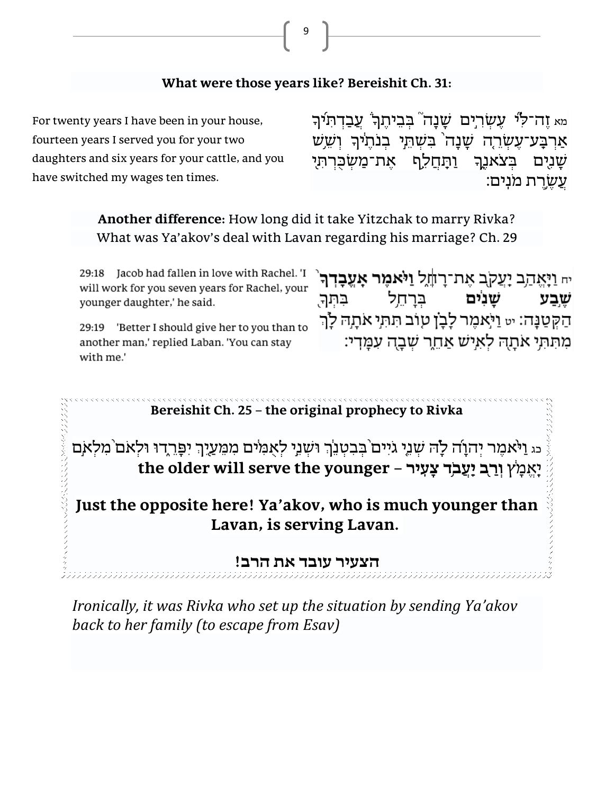

9

For twenty years I have been in your house, fourteen years I served you for your two daughters and six years for your cattle, and you have switched my wages ten times. מא זֶה־לִּי עֶשְׂרִיִּם שָׁנָה בְּבִיתֶךְ עֲבַדְתִּי*ׁ*ךְ אַרְבָע־עֶשְרֶה שָׁנָה<sup>'</sup> בִּשְׁתֵּי בְנֹתֶיךָ וְשֵׁש ַשְׁנִיִּם בְּצֹאנֵך **וַתִּחֲלֵף אֶת־מַשְׁכֻּרְתִּי** ִ עַשַרת מנִים:

> **Another difference:** How long did it take Yitzchak to marry Rivka? What was Ya'akov's deal with Lavan regarding his marriage? Ch. 29

29:18 Jacob had fallen in love with Rachel. 'I will work for you seven years for Rachel, your younger daughter,' he said.

29:19 'Better I should give her to you than to another man,' replied Laban. 'You can stay with me.'

ּיח וַיָּאֱהַב יָעֲקֹב אֶת־רָוֹזֶל **וַיֹּאמֶר אָעֱבָדְך**ֹ שַׁנִים בּרחַל בתר. שבע ּהַקְטַנָּה: יט וַיֹּאמֶר לָבָן טְוֹב תִּתְי אֹתָהּ לָךְ מתתי אתה לאיש אחר שבה עמדי:

**Bereishit Ch. 25 – the original prophecy to Rivka**

כּג וַיֹּאמֵר יְהוָה לָה שִׁנֵי גֹיִים בִּבְטְנֵךְ וּשְׁנֵי לְאָמִים מִמֵּעֲיֶךְ יִפְּרֶדוּ וּלְאם מִלְאִם ֔ יֵֶֽאֱ מָ ץ **֖ וְ רַ ֥ ב יַָֽעֲבֹ ד צָׂעִָּֽ יר – younger the serve will older the**

**Just the opposite here! Ya'akov, who is much younger than Lavan, is serving Lavan.** 

**הצעיר עובד את הרב!** 

*Ironically, it was Rivka who set up the situation by sending Ya'akov back to her family (to escape from Esav)*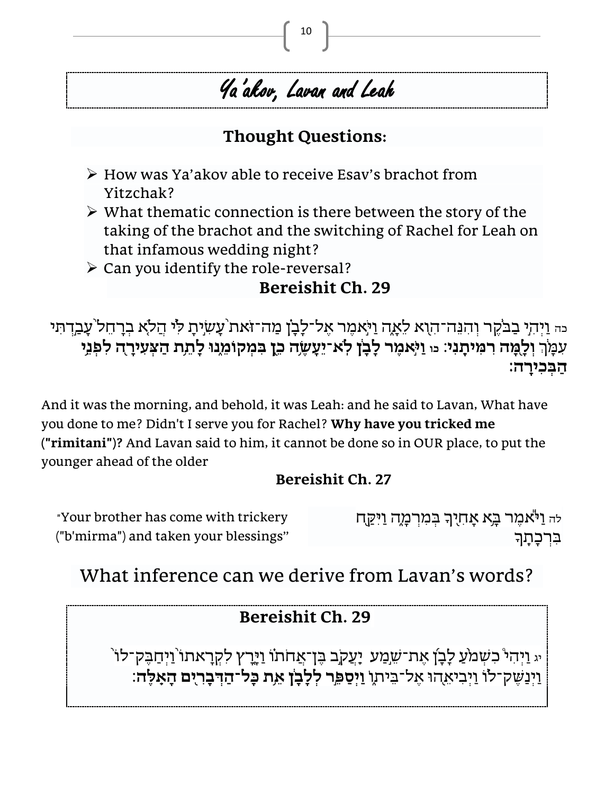# Ya 'akov, Lavan and Leah

# **Thought Questions:**

- ➢ How was Ya'akov able to receive Esav's brachot from Yitzchak?
- $\triangleright$  What thematic connection is there between the story of the taking of the brachot and the switching of Rachel for Leah on that infamous wedding night?
- $\triangleright$  Can you identify the role-reversal?

# **Bereishit Ch. 29**

ּ <sub>כֹּה</sub> וַיְהִי בַבֹּקֶר וְהִנֵּה־הִוָא לֵאָה וַיֹּאמֶר אֶל־לָבָן מַה־זֹּאת עָשְׂיָתָ לִי הֲלֹא בְרָחֵל עָבַדְתִּי עִמָּךְ וְלָמֶה רִמִּיתָנִי: מּ וַיֹּאמֶר לָבָן לְא־יֵעָשֶׂה כֵן בִּמְקוֹמֵנוּ לָתֵת הַצְעִירָה לִפְנֵי **הַ בְּ כִּ ירָָֽׂ ה׃** 

And it was the morning, and behold, it was Leah: and he said to Lavan, What have you done to me? Didn't I serve you for Rachel? **Why have you tricked me ("rimitani")?** And Lavan said to him, it cannot be done so in OUR place, to put the younger ahead of the older

# **Bereishit Ch. 27**

| "Your brother has come with trickery  | לה וַיֹּאמֶר בָּא אָחִיךָ בְּמִרְמָה וַיִּקַח |
|---------------------------------------|-----------------------------------------------|
| ("b'mirma") and taken your blessings" | בִּרְכָּתָךָ                                  |

# What inference can we derive from Lavan's words?

# **Bereishit Ch. 29**

יג וַיְהִי כִשְׁמֹעַ לָבְן אֶת־שֵׁמַע יָעֲקֹב בֶּן־אֲחֹתוֹ וַיָּרֶץ לִקְרָאתו<sup>י</sup> וַיְחַבֶּק־לוֹ ַוַיְנַשֵק־לוֹ וַיִּבִיאֶהוּ אֵל־בֵּיתוּ וַיִּסַפֵּר לִלָבָן אֵת כָּל־הַדְבָרִיִם הָאָלֶה: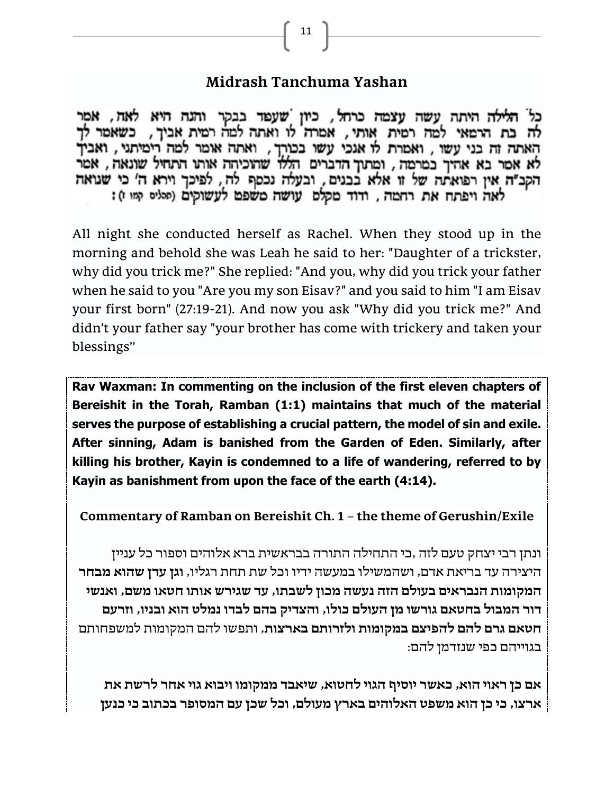#### **Midrash Tanchuma Yashan**

כל הלילה היתה עשה עצמה כרחל, כיון שעפד בבקר והנה היא לאה, אמר<br>לה בת הרמאי למה רמית אותי, אמרה לו ואתה למה רמית אביך, כשאמר לך האתה זה בני עשו , ואמרת לו אנכי עשו בכורך , ואתה אומר למה רימיתני , ואביך לא אמר בא אהיך במרמה, ומתוך הדברים הללו שהוכיחה אותו התחיל שונאה, אמר הקב"ה אין רפואתה של זו אלא בבנים, ובעלה נכסף לה, לפיכך וירא ה' כי שנואה לאה ויפתח את רחמה, ודוד מקלמ עושה משפט לעשוקים (סליס קמו):

All night she conducted herself as Rachel. When they stood up in the morning and behold she was Leah he said to her: "Daughter of a trickster, why did you trick me?" She replied: "And you, why did you trick your father when he said to you "Are you my son Eisav?" and you said to him "I am Eisav your first born" (27:19-21). And now you ask "Why did you trick me?" And didn't your father say "your brother has come with trickery and taken your blessings"

**Rav Waxman: In commenting on the inclusion of the first eleven chapters of Bereishit in the Torah, Ramban (1:1) maintains that much of the material serves the purpose of establishing a crucial pattern, the model of sin and exile. After sinning, Adam is banished from the Garden of Eden. Similarly, after killing his brother, Kayin is condemned to a life of wandering, referred to by Kayin as banishment from upon the face of the earth (4:14).** 

**Commentary of Ramban on Bereishit Ch. 1 – the theme of Gerushin/Exile**

ונתן רבי יצחק טעם לזה ,כי התחילה התורה בבראשית ברא אלוהים וספור כל עניין היצירה עד בריאת אדם, ושהמשילו במעשה ידיו וכל שת תחת רגליו, **וגן עדן שהוא מבחר המקומות הנבראים בעולם הזה נעשה מכון לשבתו, עד שגירש אותו חטאו משם, ואנשי דו ר המבול בחטאם גורשו מן העולם כו לו, והצדיק בהם לבדו נמלט הוא ובניו, וזרעם חטאם גרם להם להפי צם במקומות ולזרותם בארצות**, ותפשו להם המקומות למשפחותם בגוייהם כפי שנזדמן להם:

**אם כן ראוי הוא, כאשר יוסיף הגוי לחטוא, שיאבד ממקומו ויבוא גוי אחר לרשת את ארצו, כי כן הוא משפט האלוהים בארץ מעולם, וכל שכן עם המסופר בכתוב כי כנען**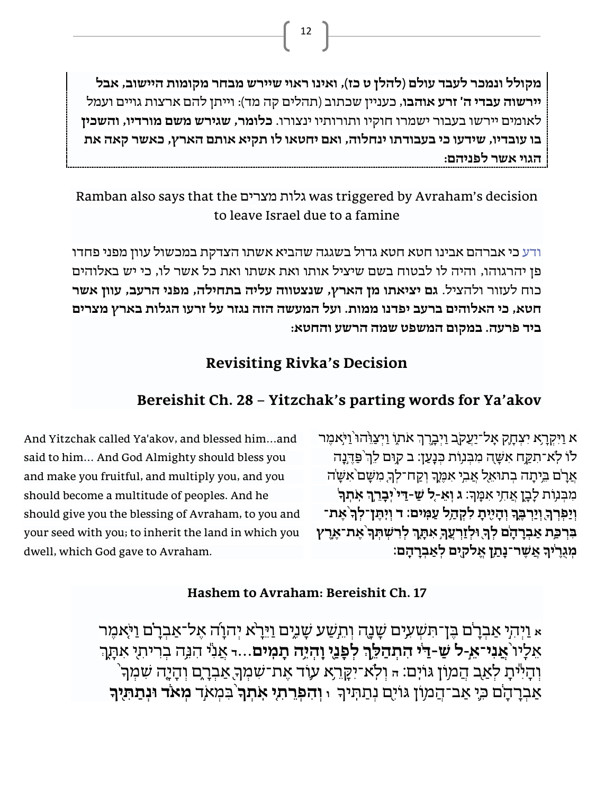**מקולל ונמכר לעבד עולם )להלן ט כז(, ואינו ראוי שיירש מבחר מקומות היישוב, אבל יירשוה עבדי ה' זרע אוהבו,** כעניין שכתוב (תהלים קה מד): וייתן להם ארצות גויים ועמל לאומים יירשו בעבור ישמרו חוקיו ותורותיו ינצורו. **כלומר, שגירש משם מורדיו, והשכין בו עובדיו, שידעו כי בעבודתו ינחלוה, ואם יחטאו לו תקיא אותם הארץ, כאשר קאה את הגוי אשר לפניהם :**

### Ramban also says that the מצרים גלות was triggered by Avraham's decision to leave Israel due to a famine

ודע כי אברהם אבינו חטא חטא גדול בשגגה שהביא אשתו הצדקת במכשול עוון מפני פחדו פן יהרגוהו, והיה לו לבטוח בשם שיציל אותו ואת אשתו ואת כל אשר לו, כי יש באלוהים כוח לעזור ולהציל. **גם יציאתו מן הארץ, שנצטווה עליה בתחילה, מפני הרעב, עוון אשר חטא, כי האלוהים ברעב יפדנו ממות. ועל המעשה הזה נגזר על זרעו הגלות בארץ מצרים ביד פרעה. במקום המשפט שמה הרשע והחטא:**

# **Revisiting Rivka's Decision**

### **Bereishit Ch. 28 – Yitzchak's parting words for Ya'akov**

א וַיִּקְרָא יִצְחָק אָל־יַעֲקֹב וַיִּבְרֶךְ אֹתוֹ וַיִּצֲוֵ<sup>ּ</sup>הוּ <sup>יַ</sup>וְּאִמֵר לו לְא־תִקֲח אִשָּׁה מִבְּנוֹת כִּנָּעַן: ב קוּם לֵךְ פַּדֶּנָה אֲרָ<sup>יֹ</sup>ם בֵּיתָה בְתוּאֵל אֲבִי אִמֶּךָ וְקַח־לִךְ מִשָּׁם<sup>י</sup>אִשָּׂה ָך ֥ מִּ בְּ נ ֖ וֹת לָבָ ֥ ן אֲ חִּ ׃ **ְך ָֽ ֹא ְת ָׂך** י ִּא ֵֶּֽמ **ג וְ אֵ -֤ל ש ַ ַּ-ד֙י ֣ יְבָׂ רֵ ֔** וְיַפִרְךָ וְיַרְבֵּךְ וְהָיִיָּתָ לִקְהָל עַמְּים: ד וְיִתֵּן־לִךְ אֵת־ בִּרְפַת אַבְרָהָם לְךָ וּלְזַרְעֲךָ אִתָּךְ לְרִשְׁתְּךְ אֶת־אֶרֶץ **ָׂך ֔ מְ גֻרֶ ֲא ֶשר־ָׂנ ַת י ֥ן אֱ ל ֖קים לְ אַ בְ רָׂ הָָֽׂ ם׃** 

And Yitzchak called Ya'akov, and blessed him…and said to him… And God Almighty should bless you and make you fruitful, and multiply you, and you should become a multitude of peoples. And he should give you the blessing of Avraham, to you and your seed with you; to inherit the land in which you dwell, which God gave to Avraham.

#### **Hashem to Avraham: Bereishit Ch. 17**

א וַיְהִי אַבְרָם בֶּן־תִּשְׁעִים שָׁנֶה וְהֵעֲע שָׁנֶים וַיֵּרָא יְהוָה אֶל־אַבְרָם וַיֹּאמֶר אֵלַיו אֲנִי־אֵ-ל שַׁ-דַי התִהַלֵּךְ לִפָּנֵי וָהִיָה תָמִים...דּאֲנִי הִנְה בְרִיתִי אִתָּךְ ֙ך ָך ֕ וְ הָ יִּ ֖ יתָ לְ אַ ֥ ב הֲ מ ֹון ּג ֹוִֵּֽים׃ **<sup>ה</sup>** וְ לֵֹֽ א־יִּ ָּקֵּ ֥ר ֛ א ע וֹ ד ֶאת־ׁ ִּש ְמ ֖ ֑ אַ בְ רָ ֤ ם וְ הָ יָ ה ׁ ִּש ְמ ָ אַבְרָהָם כִּיָ אַב־הֲמִוֹן גּוֹיָם נְתַתְּיךָ וּ וְהִפְרֵתִי אִתְךָ בִמְאֹד מְאֹד וּנְתַתְּיָךָ